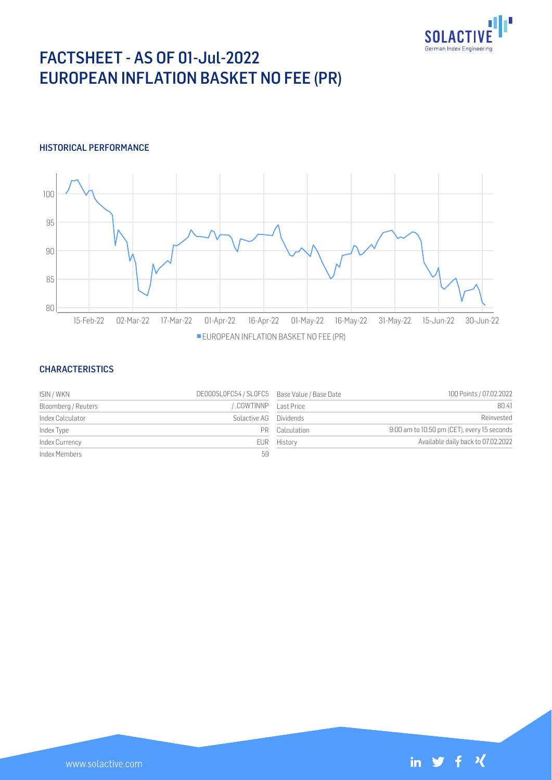

# FACTSHEET - AS OF 01-Jul-2022 EUROPEAN INFLATION BASKET NO FEE (PR)

## HISTORICAL PERFORMANCE



#### **CHARACTERISTICS**

| ISIN / WKN          | DE000SL0FC54 / SL0FC5 Base Value / Base Date |                | 100 Points / 07.02.2022                     |
|---------------------|----------------------------------------------|----------------|---------------------------------------------|
| Bloomberg / Reuters | .CGWTINNP    Last Price                      |                | 80.41                                       |
| Index Calculator    | Solactive AG                                 | Dividends      | Reinvested                                  |
| Index Type          |                                              | PR Calculation | 9:00 am to 10:50 pm (CET), every 15 seconds |
| Index Currency      |                                              | EUR History    | Available daily back to 07.02.2022          |
| Index Members       | 59                                           |                |                                             |

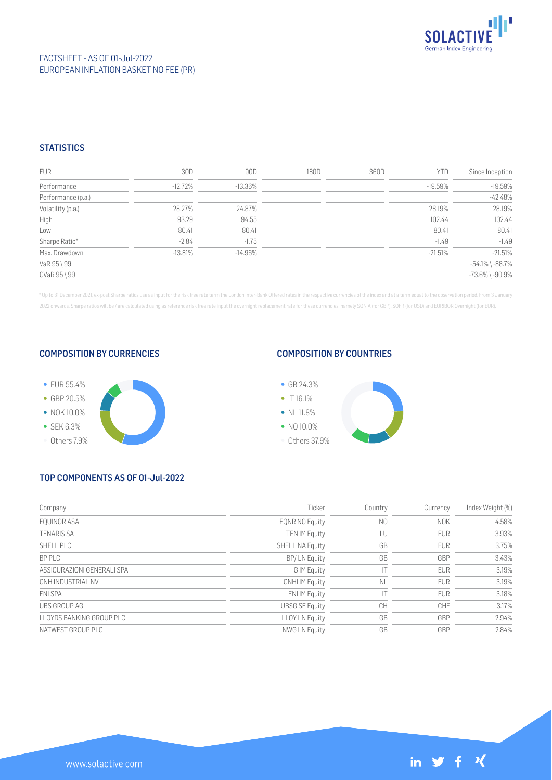

## **STATISTICS**

| <b>EUR</b>         | 30D        | 90D        | 180D | 360D | <b>YTD</b> | Since Inception       |
|--------------------|------------|------------|------|------|------------|-----------------------|
| Performance        | $-12.72\%$ | $-13.36\%$ |      |      | -19.59%    | $-19.59%$             |
| Performance (p.a.) |            |            |      |      |            | $-42.48%$             |
| Volatility (p.a.)  | 28.27%     | 24.87%     |      |      | 28.19%     | 28.19%                |
| High               | 93.29      | 94.55      |      |      | 102.44     | 102.44                |
| Low                | 80.41      | 80.41      |      |      | 80.41      | 80.41                 |
| Sharpe Ratio*      | $-2.84$    | $-1.75$    |      |      | $-1.49$    | $-1.49$               |
| Max. Drawdown      | $-13.81%$  | $-14.96\%$ |      |      | $-21.51%$  | $-21.51%$             |
| VaR 95 \ 99        |            |            |      |      |            | $-54.1\%$ \ $-88.7\%$ |
| CVaR 95 \ 99       |            |            |      |      |            | $-73.6\%$ \ $-90.9\%$ |

\* Up to 31 December 2021, ex-post Sharpe ratios use as input for the risk free rate term the London Inter-Bank Offered rates in the respective currencies of the index and at a term equal to the observation period. From 3 J 2022 onwards, Sharpe ratios will be / are calculated using as reference risk free rate input the overnight replacement rate for these currencies, namely SONIA (for GBP), SOFR (for USD) and EURIBOR Overnight (for EUR).

#### COMPOSITION BY CURRENCIES



#### COMPOSITION BY COUNTRIES



## TOP COMPONENTS AS OF 01-Jul-2022

| Company                    | Ticker                 | Country        | Currency   | Index Weight (%) |
|----------------------------|------------------------|----------------|------------|------------------|
| EOUINOR ASA                | <b>EQNR NO Equity</b>  | N <sub>0</sub> | <b>NOK</b> | 4.58%            |
| <b>TENARIS SA</b>          | <b>TEN IM Equity</b>   | LU             | <b>EUR</b> | 3.93%            |
| SHELL PLC                  | <b>SHELL NA Equity</b> | GB             | <b>EUR</b> | 3.75%            |
| <b>BPPIC</b>               | BP/LN Equity           | GB             | GBP        | 3.43%            |
| ASSICURAZIONI GENERALI SPA | G IM Equity            |                | <b>EUR</b> | 3.19%            |
| CNH INDUSTRIAL NV          | <b>CNHI IM Equity</b>  | <b>NL</b>      | <b>EUR</b> | 3.19%            |
| ENI SPA                    | <b>ENI IM Equity</b>   |                | <b>EUR</b> | 3.18%            |
| UBS GROUP AG               | <b>UBSG SE Equity</b>  | <b>CH</b>      | <b>CHF</b> | 3.17%            |
| LLOYDS BANKING GROUP PLC   | <b>LLOY LN Equity</b>  | GB             | GBP        | 2.94%            |
| NATWEST GROUP PLC          | NWG LN Equity          | GB             | GBP        | 2.84%            |